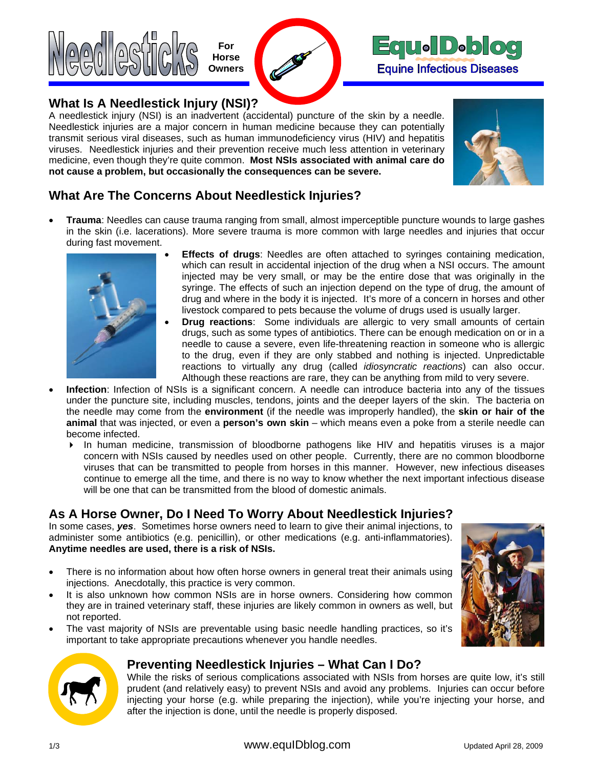



## **What Is A Needlestick Injury (NSI)?**

A needlestick injury (NSI) is an inadvertent (accidental) puncture of the skin by a needle. Needlestick injuries are a major concern in human medicine because they can potentially transmit serious viral diseases, such as human immunodeficiency virus (HIV) and hepatitis viruses. Needlestick injuries and their prevention receive much less attention in veterinary medicine, even though they're quite common. **Most NSIs associated with animal care do not cause a problem, but occasionally the consequences can be severe.**



## **What Are The Concerns About Needlestick Injuries?**

• **Trauma**: Needles can cause trauma ranging from small, almost imperceptible puncture wounds to large gashes in the skin (i.e. lacerations). More severe trauma is more common with large needles and injuries that occur during fast movement.



- **Effects of drugs:** Needles are often attached to syringes containing medication, which can result in accidental injection of the drug when a NSI occurs. The amount injected may be very small, or may be the entire dose that was originally in the syringe. The effects of such an injection depend on the type of drug, the amount of drug and where in the body it is injected. It's more of a concern in horses and other livestock compared to pets because the volume of drugs used is usually larger.
- **Drug reactions**: Some individuals are allergic to very small amounts of certain drugs, such as some types of antibiotics. There can be enough medication on or in a needle to cause a severe, even life-threatening reaction in someone who is allergic to the drug, even if they are only stabbed and nothing is injected. Unpredictable reactions to virtually any drug (called *idiosyncratic reactions*) can also occur. Although these reactions are rare, they can be anything from mild to very severe.
- **Infection**: Infection of NSIs is a significant concern. A needle can introduce bacteria into any of the tissues under the puncture site, including muscles, tendons, joints and the deeper layers of the skin. The bacteria on the needle may come from the **environment** (if the needle was improperly handled), the **skin or hair of the animal** that was injected, or even a **person's own skin** – which means even a poke from a sterile needle can become infected.
	- In human medicine, transmission of bloodborne pathogens like HIV and hepatitis viruses is a major concern with NSIs caused by needles used on other people. Currently, there are no common bloodborne viruses that can be transmitted to people from horses in this manner. However, new infectious diseases continue to emerge all the time, and there is no way to know whether the next important infectious disease will be one that can be transmitted from the blood of domestic animals.

# **As A Horse Owner, Do I Need To Worry About Needlestick Injuries?**

In some cases, *yes*. Sometimes horse owners need to learn to give their animal injections, to administer some antibiotics (e.g. penicillin), or other medications (e.g. anti-inflammatories). **Anytime needles are used, there is a risk of NSIs.**

- There is no information about how often horse owners in general treat their animals using injections. Anecdotally, this practice is very common.
- It is also unknown how common NSIs are in horse owners. Considering how common they are in trained veterinary staff, these injuries are likely common in owners as well, but not reported.
- The vast majority of NSIs are preventable using basic needle handling practices, so it's important to take appropriate precautions whenever you handle needles.





### **Preventing Needlestick Injuries – What Can I Do?**

While the risks of serious complications associated with NSIs from horses are quite low, it's still prudent (and relatively easy) to prevent NSIs and avoid any problems. Injuries can occur before injecting your horse (e.g. while preparing the injection), while you're injecting your horse, and after the injection is done, until the needle is properly disposed.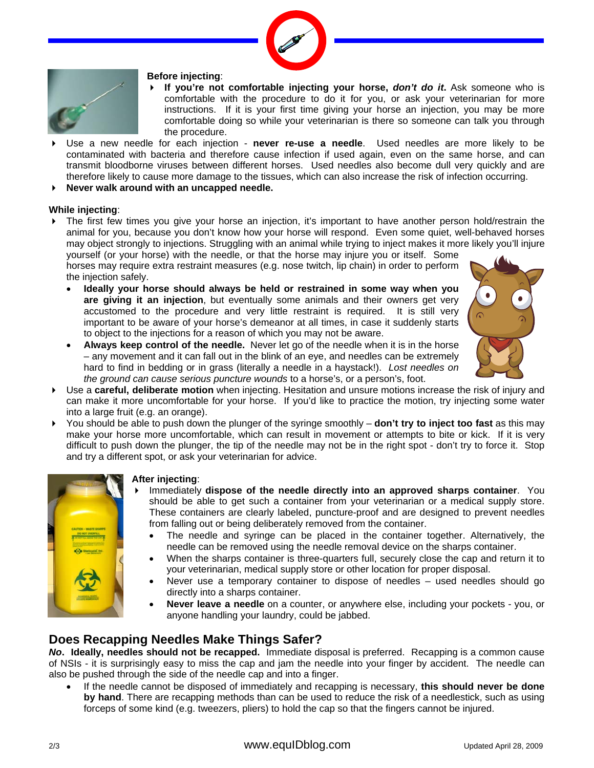



#### **Before injecting**:

- ▶ If you're not comfortable injecting your horse, *don't do it*. Ask someone who is comfortable with the procedure to do it for you, or ask your veterinarian for more instructions. If it is your first time giving your horse an injection, you may be more comfortable doing so while your veterinarian is there so someone can talk you through the procedure.
- Use a new needle for each injection **never re-use a needle**. Used needles are more likely to be contaminated with bacteria and therefore cause infection if used again, even on the same horse, and can transmit bloodborne viruses between different horses. Used needles also become dull very quickly and are therefore likely to cause more damage to the tissues, which can also increase the risk of infection occurring.
- **Never walk around with an uncapped needle.**

#### **While injecting**:

 The first few times you give your horse an injection, it's important to have another person hold/restrain the animal for you, because you don't know how your horse will respond. Even some quiet, well-behaved horses may object strongly to injections. Struggling with an animal while trying to inject makes it more likely you'll injure yourself (or your horse) with the needle, or that the horse may injure you or itself. Some

horses may require extra restraint measures (e.g. nose twitch, lip chain) in order to perform the injection safely.

• **Ideally your horse should always be held or restrained in some way when you are giving it an injection**, but eventually some animals and their owners get very accustomed to the procedure and very little restraint is required. It is still very important to be aware of your horse's demeanor at all times, in case it suddenly starts to object to the injections for a reason of which you may not be aware.



- **Always keep control of the needle.** Never let go of the needle when it is in the horse – any movement and it can fall out in the blink of an eye, and needles can be extremely hard to find in bedding or in grass (literally a needle in a haystack!). *Lost needles on the ground can cause serious puncture wounds* to a horse's, or a person's, foot.
- Use a **careful, deliberate motion** when injecting. Hesitation and unsure motions increase the risk of injury and can make it more uncomfortable for your horse. If you'd like to practice the motion, try injecting some water into a large fruit (e.g. an orange).
- You should be able to push down the plunger of the syringe smoothly **don't try to inject too fast** as this may make your horse more uncomfortable, which can result in movement or attempts to bite or kick. If it is very difficult to push down the plunger, the tip of the needle may not be in the right spot - don't try to force it. Stop and try a different spot, or ask your veterinarian for advice.



#### **After injecting**:

- Immediately **dispose of the needle directly into an approved sharps container**. You should be able to get such a container from your veterinarian or a medical supply store. These containers are clearly labeled, puncture-proof and are designed to prevent needles from falling out or being deliberately removed from the container.
	- The needle and syringe can be placed in the container together. Alternatively, the needle can be removed using the needle removal device on the sharps container.
	- When the sharps container is three-quarters full, securely close the cap and return it to your veterinarian, medical supply store or other location for proper disposal.
	- Never use a temporary container to dispose of needles used needles should go directly into a sharps container.
	- **Never leave a needle** on a counter, or anywhere else, including your pockets you, or anyone handling your laundry, could be jabbed.

### **Does Recapping Needles Make Things Safer?**

*No***. Ideally, needles should not be recapped.** Immediate disposal is preferred.Recapping is a common cause of NSIs - it is surprisingly easy to miss the cap and jam the needle into your finger by accident. The needle can also be pushed through the side of the needle cap and into a finger.

• If the needle cannot be disposed of immediately and recapping is necessary, **this should never be done by hand**. There are recapping methods than can be used to reduce the risk of a needlestick, such as using forceps of some kind (e.g. tweezers, pliers) to hold the cap so that the fingers cannot be injured.